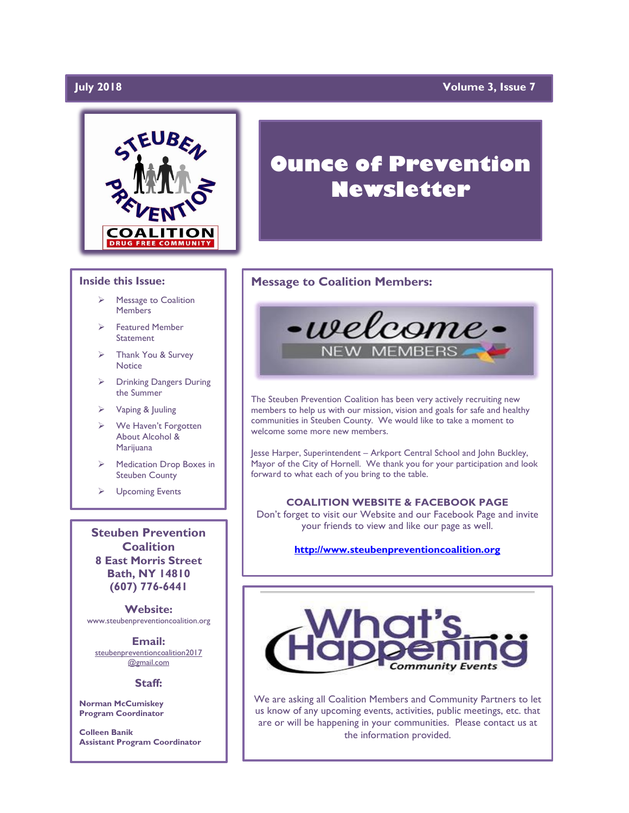# **July 2018**

### **Volume 3, Issue 7**



### **Inside this Issue:**

- Message to Coalition Members
- ➢ Featured Member **Statement**
- ➢ Thank You & Survey **Notice**
- ➢ Drinking Dangers During the Summer
- ➢ Vaping & Juuling
- ➢ We Haven't Forgotten About Alcohol & Marijuana
- ➢ Medication Drop Boxes in Steuben County
- ➢ Upcoming Events

**Steuben Prevention Coalition 8 East Morris Street Bath, NY 14810 (607) 776-6441**

**Website:**  www.steubenpreventioncoalition.org

**Email:**  steubenpreventioncoalition2017 @gmail.com

### **Staff:**

**Norman McCumiskey Program Coordinator**

**Colleen Banik Assistant Program Coordinator**

# **Ounce of Prevention Newsletter**

### **Message to Coalition Members:**



The Steuben Prevention Coalition has been very actively recruiting new members to help us with our mission, vision and goals for safe and healthy communities in Steuben County. We would like to take a moment to welcome some more new members.

Jesse Harper, Superintendent – Arkport Central School and John Buckley, Mayor of the City of Hornell. We thank you for your participation and look forward to what each of you bring to the table.

**COALITION WEBSITE & FACEBOOK PAGE** Don't forget to visit our Website and our Facebook Page and invite your friends to view and like our page as well.

### **[http://www.steubenpreventioncoalition.org](http://www.steubenpreventioncoalition.org/)**



We are asking all Coalition Members and Community Partners to let us know of any upcoming events, activities, public meetings, etc. that are or will be happening in your communities. Please contact us at the information provided.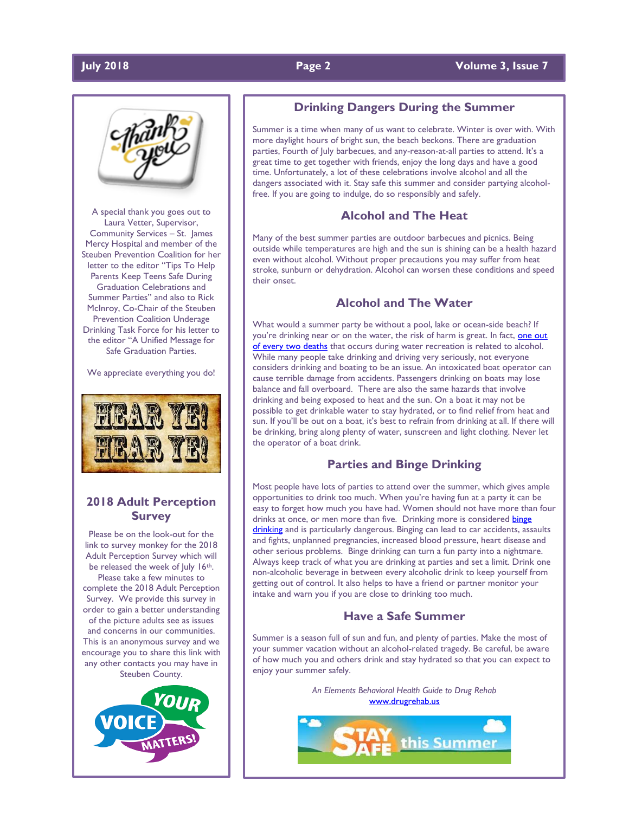

A special thank you goes out to Laura Vetter, Supervisor, Community Services – St. James Mercy Hospital and member of the Steuben Prevention Coalition for her letter to the editor "Tips To Help Parents Keep Teens Safe During Graduation Celebrations and Summer Parties" and also to Rick McInroy, Co-Chair of the Steuben Prevention Coalition Underage Drinking Task Force for his letter to the editor "A Unified Message for Safe Graduation Parties.

We appreciate everything you do!



# **2018 Adult Perception Survey**

Please be on the look-out for the link to survey monkey for the 2018 Adult Perception Survey which will be released the week of luly 16th. Please take a few minutes to complete the 2018 Adult Perception Survey. We provide this survey in order to gain a better understanding of the picture adults see as issues and concerns in our communities. This is an anonymous survey and we encourage you to share this link with any other contacts you may have in Steuben County.



### **Drinking Dangers During the Summer**

Summer is a time when many of us want to celebrate. Winter is over with. With more daylight hours of bright sun, the beach beckons. There are graduation parties, Fourth of July barbecues, and any-reason-at-all parties to attend. It's a great time to get together with friends, enjoy the long days and have a good time. Unfortunately, a lot of these celebrations involve alcohol and all the dangers associated with it. Stay safe this summer and consider partying alcoholfree. If you are going to indulge, do so responsibly and safely.

### **Alcohol and The Heat**

Many of the best summer parties are outdoor barbecues and picnics. Being outside while temperatures are high and the sun is shining can be a health hazard even without alcohol. Without proper precautions you may suffer from heat stroke, sunburn or dehydration. Alcohol can worsen these conditions and speed their onset.

### **Alcohol and The Water**

What would a summer party be without a pool, lake or ocean-side beach? If you're drinking near or on the water, the risk of harm is great. In fact, one out [of every two deaths](http://pubs.niaaa.nih.gov/publications/SummerSafety/SummerSafety.htm) that occurs during water recreation is related to alcohol. While many people take drinking and driving very seriously, not everyone considers drinking and boating to be an issue. An intoxicated boat operator can cause terrible damage from accidents. Passengers drinking on boats may lose balance and fall overboard. There are also the same hazards that involve drinking and being exposed to heat and the sun. On a boat it may not be possible to get drinkable water to stay hydrated, or to find relief from heat and sun. If you'll be out on a boat, it's best to refrain from drinking at all. If there will be drinking, bring along plenty of water, sunscreen and light clothing. Never let the operator of a boat drink.

## **Parties and Binge Drinking**

Most people have lots of parties to attend over the summer, which gives ample opportunities to drink too much. When you're having fun at a party it can be easy to forget how much you have had. Women should not have more than four drinks at once, or men more than five. Drinking more is considered binge [drinking](http://www.cdc.gov/features/summertimesafety/) and is particularly dangerous. Binging can lead to car accidents, assaults and fights, unplanned pregnancies, increased blood pressure, heart disease and other serious problems. Binge drinking can turn a fun party into a nightmare. Always keep track of what you are drinking at parties and set a limit. Drink one non-alcoholic beverage in between every alcoholic drink to keep yourself from getting out of control. It also helps to have a friend or partner monitor your intake and warn you if you are close to drinking too much.

### **Have a Safe Summer**

Summer is a season full of sun and fun, and plenty of parties. Make the most of your summer vacation without an alcohol-related tragedy. Be careful, be aware of how much you and others drink and stay hydrated so that you can expect to enjoy your summer safely.

> *An Elements Behavioral Health Guide to Drug Rehab* [www.drugrehab.us](http://www.drugrehab.us/)

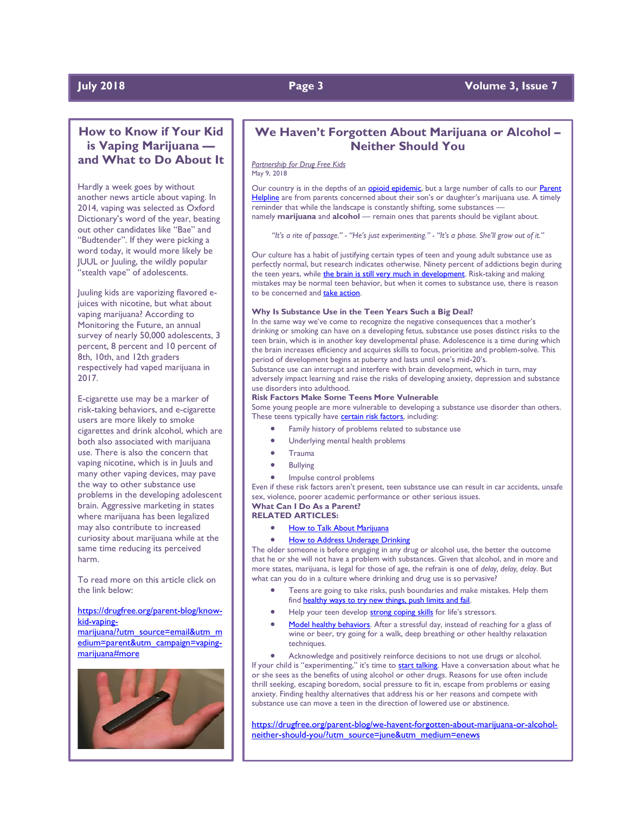# **July 2018 Page 3 Volume 3, Issue 7**

# **How to Know if Your Kid is Vaping Marijuana and What to Do About It**

Hardly a week goes by without another news article about vaping. In 2014, vaping was selected as Oxford Dictionary's word of the year, beating out other candidates like "Bae" and "Budtender". If they were picking a word today, it would more likely be JUUL or Juuling, the wildly popular "stealth vape" of adolescents.

Juuling kids are vaporizing flavored ejuices with nicotine, but what about vaping marijuana? According to Monitoring the Future, an annual survey of nearly 50,000 adolescents, 3 percent, 8 percent and 10 percent of 8th, 10th, and 12th graders respectively had vaped marijuana in 2017.

E-cigarette use may be a marker of risk-taking behaviors, and e-cigarette users are more likely to smoke cigarettes and drink alcohol, which are both also associated with marijuana use. There is also the concern that vaping nicotine, which is in Juuls and many other vaping devices, may pave the way to other substance use problems in the developing adolescent brain. Aggressive marketing in states where marijuana has been legalized may also contribute to increased curiosity about marijuana while at the same time reducing its perceived harm.

To read more on this article click on the link below:

[https://drugfree.org/parent-blog/know](https://drugfree.org/parent-blog/know-kid-vaping-marijuana/?utm_source=email&utm_medium=parent&utm_campaign=vaping-marijuana#more)[kid-vaping](https://drugfree.org/parent-blog/know-kid-vaping-marijuana/?utm_source=email&utm_medium=parent&utm_campaign=vaping-marijuana#more)[marijuana/?utm\\_source=email&utm\\_m](https://drugfree.org/parent-blog/know-kid-vaping-marijuana/?utm_source=email&utm_medium=parent&utm_campaign=vaping-marijuana#more)

[edium=parent&utm\\_campaign=vaping](https://drugfree.org/parent-blog/know-kid-vaping-marijuana/?utm_source=email&utm_medium=parent&utm_campaign=vaping-marijuana#more)[marijuana#more](https://drugfree.org/parent-blog/know-kid-vaping-marijuana/?utm_source=email&utm_medium=parent&utm_campaign=vaping-marijuana#more)



# **We Haven't Forgotten About Marijuana or Alcohol – Neither Should You**

### *Partnership for Drug Free Kids* May 9, 2018

Our country is in the depths of an **opioid epidemic**, but a large number of calls to our **Parent** [Helpline](https://drugfree.org/article/get-one-on-one-help/) are from parents concerned about their son's or daughter's marijuana use. A timely reminder that while the landscape is constantly shifting, some substances namely **marijuana** and **alcohol** — remain ones that parents should be vigilant about.

*"It's a rite of passage." - "He's just experimenting." - "It's a phase. She'll grow out of it."*

Our culture has a habit of justifying certain types of teen and young adult substance use as perfectly normal, but research indicates otherwise. Ninety percent of addictions begin during the teen years, while [the brain is still very much in development.](https://drugfree.org/article/brain-development-teen-behavior/) Risk-taking and making mistakes may be normal teen behavior, but when it comes to substance use, there is reason to be concerned and **take action**.

### **Why Is Substance Use in the Teen Years Such a Big Deal?**

In the same way we've come to recognize the negative consequences that a mother's drinking or smoking can have on a developing fetus, substance use poses distinct risks to the teen brain, which is in another key developmental phase. Adolescence is a time during which the brain increases efficiency and acquires skills to focus, prioritize and problem-solve. This period of development begins at puberty and lasts until one's mid-20's.

Substance use can interrupt and interfere with brain development, which in turn, may adversely impact learning and raise the risks of developing anxiety, depression and substance use disorders into adulthood.

### **Risk Factors Make Some Teens More Vulnerable**

Some young people are more vulnerable to developing a substance use disorder than others. These teens typically have **certain risk factors**, including:

- Family history of problems related to substance use
- Underlying mental health problems
- Trauma
- Bullying
- Impulse control problems

Even if these risk factors aren't present, teen substance use can result in car accidents, unsafe sex, violence, poorer academic performance or other serious issues. **What Can I Do As a Parent?**

### **RELATED ARTICLES:**

- [How to Talk About Marijuana](https://drugfree.org/article/how-to-talk-about-marijuana/)
- [How to Address Underage Drinking](https://drugfree.org/article/how-to-address-underage-drinking/)

The older someone is before engaging in any drug or alcohol use, the better the outcome that he or she will not have a problem with substances. Given that alcohol, and in more and more states, marijuana, is legal for those of age, the refrain is one of *delay, delay, delay*. But what can you do in a culture where drinking and drug use is so pervasive?

- Teens are going to take risks, push boundaries and make mistakes. Help them find [healthy ways to try new things, push limits and fail.](https://drugfree.org/article/healthy-risk-taking/)
- Help your teen develop [strong coping skills](https://drugfree.org/parent-blog/school-stress-raising-resilient-self-aware-kids/) for life's stressors.
- [Model healthy behaviors.](https://www.drugfree.org/school-stress-modeling-healthy-behavior-teen/) After a stressful day, instead of reaching for a glass of wine or beer, try going for a walk, deep breathing or other healthy relaxation techniques.
- Acknowledge and positively reinforce decisions to not use drugs or alcohol.

If your child is "experimenting," it's time to **start talking**. Have a conversation about what he or she sees as the benefits of using alcohol or other drugs. Reasons for use often include thrill seeking, escaping boredom, social pressure to fit in, escape from problems or easing anxiety. Finding healthy alternatives that address his or her reasons and compete with substance use can move a teen in the direction of lowered use or abstinence.

[https://drugfree.org/parent-blog/we-havent-forgotten-about-marijuana-or-alcohol](https://drugfree.org/parent-blog/we-havent-forgotten-about-marijuana-or-alcohol-neither-should-you/?utm_source=june&utm_medium=enews)[neither-should-you/?utm\\_source=june&utm\\_medium=enews](https://drugfree.org/parent-blog/we-havent-forgotten-about-marijuana-or-alcohol-neither-should-you/?utm_source=june&utm_medium=enews)